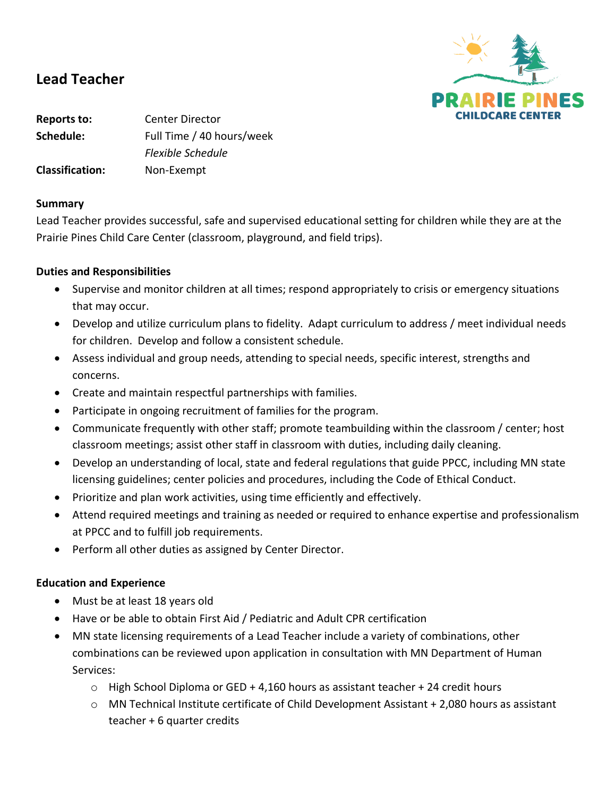

# **Lead Teacher**

**Reports to:** Center Director **Schedule:** Full Time / 40 hours/week *Flexible Schedule* **Classification:** Non-Exempt

#### **Summary**

Lead Teacher provides successful, safe and supervised educational setting for children while they are at the Prairie Pines Child Care Center (classroom, playground, and field trips).

### **Duties and Responsibilities**

- Supervise and monitor children at all times; respond appropriately to crisis or emergency situations that may occur.
- Develop and utilize curriculum plans to fidelity. Adapt curriculum to address / meet individual needs for children. Develop and follow a consistent schedule.
- Assess individual and group needs, attending to special needs, specific interest, strengths and concerns.
- Create and maintain respectful partnerships with families.
- Participate in ongoing recruitment of families for the program.
- Communicate frequently with other staff; promote teambuilding within the classroom / center; host classroom meetings; assist other staff in classroom with duties, including daily cleaning.
- Develop an understanding of local, state and federal regulations that guide PPCC, including MN state licensing guidelines; center policies and procedures, including the Code of Ethical Conduct.
- Prioritize and plan work activities, using time efficiently and effectively.
- Attend required meetings and training as needed or required to enhance expertise and professionalism at PPCC and to fulfill job requirements.
- Perform all other duties as assigned by Center Director.

### **Education and Experience**

- Must be at least 18 years old
- Have or be able to obtain First Aid / Pediatric and Adult CPR certification
- MN state licensing requirements of a Lead Teacher include a variety of combinations, other combinations can be reviewed upon application in consultation with MN Department of Human Services:
	- $\circ$  High School Diploma or GED + 4,160 hours as assistant teacher + 24 credit hours
	- $\circ$  MN Technical Institute certificate of Child Development Assistant + 2,080 hours as assistant teacher + 6 quarter credits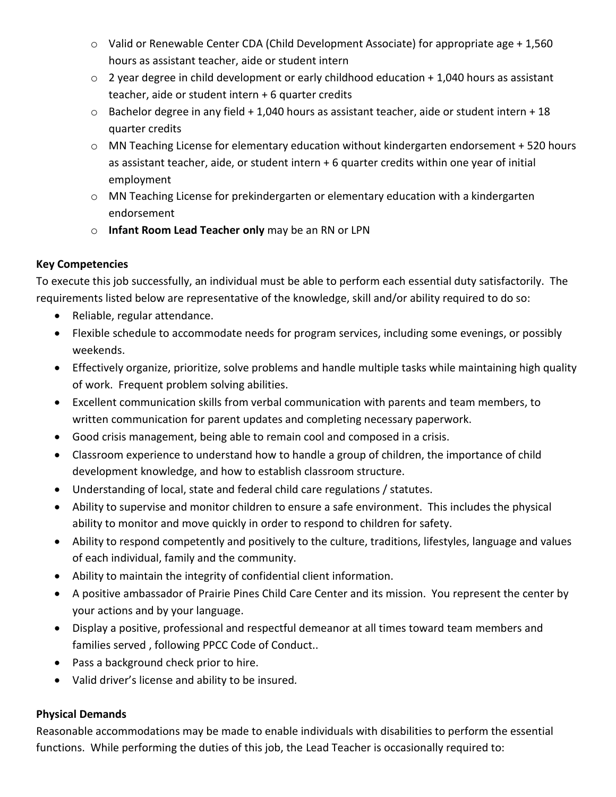- o Valid or Renewable Center CDA (Child Development Associate) for appropriate age + 1,560 hours as assistant teacher, aide or student intern
- o 2 year degree in child development or early childhood education + 1,040 hours as assistant teacher, aide or student intern + 6 quarter credits
- $\circ$  Bachelor degree in any field + 1,040 hours as assistant teacher, aide or student intern + 18 quarter credits
- o MN Teaching License for elementary education without kindergarten endorsement + 520 hours as assistant teacher, aide, or student intern + 6 quarter credits within one year of initial employment
- $\circ$  MN Teaching License for prekindergarten or elementary education with a kindergarten endorsement
- o **Infant Room Lead Teacher only** may be an RN or LPN

## **Key Competencies**

To execute this job successfully, an individual must be able to perform each essential duty satisfactorily. The requirements listed below are representative of the knowledge, skill and/or ability required to do so:

- Reliable, regular attendance.
- Flexible schedule to accommodate needs for program services, including some evenings, or possibly weekends.
- Effectively organize, prioritize, solve problems and handle multiple tasks while maintaining high quality of work. Frequent problem solving abilities.
- Excellent communication skills from verbal communication with parents and team members, to written communication for parent updates and completing necessary paperwork.
- Good crisis management, being able to remain cool and composed in a crisis.
- Classroom experience to understand how to handle a group of children, the importance of child development knowledge, and how to establish classroom structure.
- Understanding of local, state and federal child care regulations / statutes.
- Ability to supervise and monitor children to ensure a safe environment. This includes the physical ability to monitor and move quickly in order to respond to children for safety.
- Ability to respond competently and positively to the culture, traditions, lifestyles, language and values of each individual, family and the community.
- Ability to maintain the integrity of confidential client information.
- A positive ambassador of Prairie Pines Child Care Center and its mission. You represent the center by your actions and by your language.
- Display a positive, professional and respectful demeanor at all times toward team members and families served , following PPCC Code of Conduct..
- Pass a background check prior to hire.
- Valid driver's license and ability to be insured*.*

## **Physical Demands**

Reasonable accommodations may be made to enable individuals with disabilities to perform the essential functions. While performing the duties of this job, the Lead Teacher is occasionally required to: